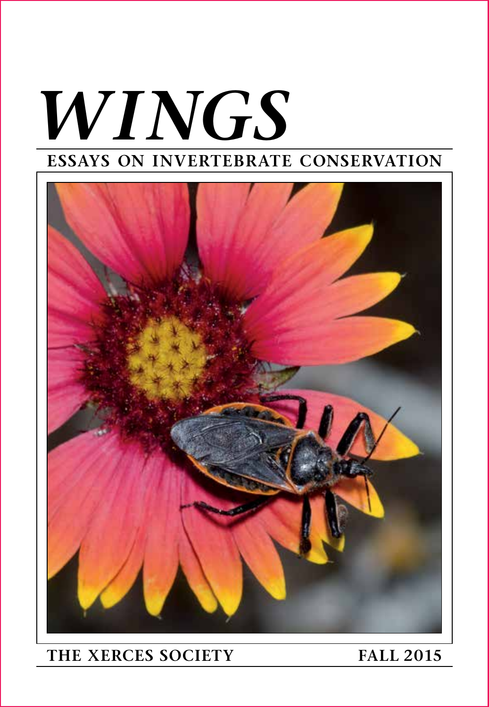# *WINGS* **ESSAYS ON INVERTEBRATE CONSERVATION**



### **THE XERCES SOCIETY FALL 2015**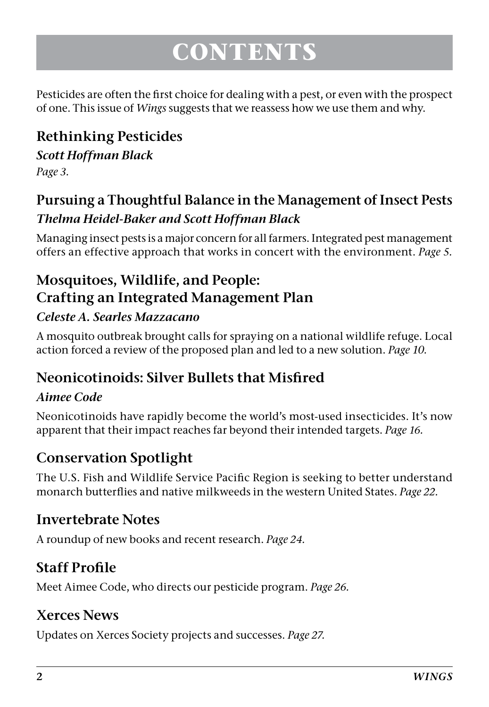## **CONTENTS**

Pesticides are often the first choice for dealing with a pest, or even with the prospect of one. This issue of *Wings* suggests that we reassess how we use them and why.

### **Rethinking Pesticides**

#### *Scott Hoffman Black*

*Page 3.*

#### **Pursuing a Thoughtful Balance in the Management of Insect Pests** *Thelma Heidel-Baker and Scott Hoffman Black*

Managing insect pests is a major concern for all farmers. Integrated pest management offers an effective approach that works in concert with the environment. *Page 5.*

### **Mosquitoes, Wildlife, and People: Crafting an Integrated Management Plan**

#### *Celeste A. Searles Mazzacano*

A mosquito outbreak brought calls for spraying on a national wildlife refuge. Local action forced a review of the proposed plan and led to a new solution. *Page 10.*

#### **Neonicotinoids: Silver Bullets that Misfired**

#### *Aimee Code*

Neonicotinoids have rapidly become the world's most-used insecticides. It's now apparent that their impact reaches far beyond their intended targets. *Page 16.*

#### **Conservation Spotlight**

The U.S. Fish and Wildlife Service Pacific Region is seeking to better understand monarch butterflies and native milkweeds in the western United States. *Page 22.*

#### **Invertebrate Notes**

A roundup of new books and recent research. *Page 24.*

#### **Staff Profile**

Meet Aimee Code, who directs our pesticide program. *Page 26.*

#### **Xerces News**

Updates on Xerces Society projects and successes. *Page 27.*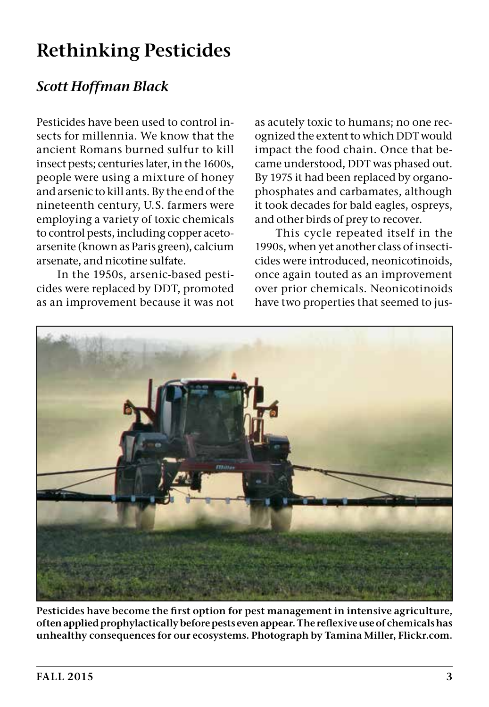### **Rethinking Pesticides**

#### *Scott Hoffman Black*

Pesticides have been used to control insects for millennia. We know that the ancient Romans burned sulfur to kill insect pests; centuries later, in the 1600s, people were using a mixture of honey and arsenic to kill ants. By the end of the nineteenth century, U.S. farmers were employing a variety of toxic chemicals to control pests, including copper acetoarsenite (known as Paris green), calcium arsenate, and nicotine sulfate.

In the 1950s, arsenic-based pesticides were replaced by DDT, promoted as an improvement because it was not as acutely toxic to humans; no one recognized the extent to which DDT would impact the food chain. Once that became understood, DDT was phased out. By 1975 it had been replaced by organophosphates and carbamates, although it took decades for bald eagles, ospreys, and other birds of prey to recover.

This cycle repeated itself in the 1990s, when yet another class of insecticides were introduced, neonicotinoids, once again touted as an improvement over prior chemicals. Neonicotinoids have two properties that seemed to jus-



**Pesticides have become the first option for pest management in intensive agriculture, often applied prophylactically before pests even appear. The reflexive use of chemicals has unhealthy consequences for our ecosystems. Photograph by Tamina Miller, Flickr.com.**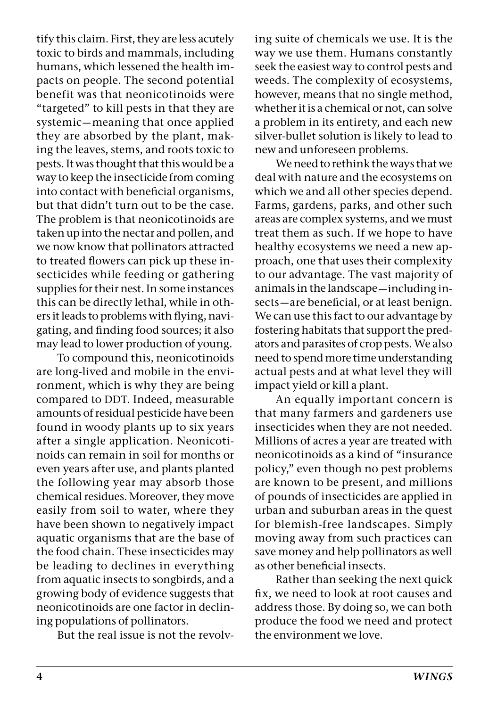tify this claim. First, they are less acutely toxic to birds and mammals, including humans, which lessened the health impacts on people. The second potential benefit was that neonicotinoids were "targeted" to kill pests in that they are systemic—meaning that once applied they are absorbed by the plant, making the leaves, stems, and roots toxic to pests. It was thought that this would be a way to keep the insecticide from coming into contact with beneficial organisms, but that didn't turn out to be the case. The problem is that neonicotinoids are taken up into the nectar and pollen, and we now know that pollinators attracted to treated flowers can pick up these insecticides while feeding or gathering supplies for their nest. In some instances this can be directly lethal, while in others it leads to problems with flying, navigating, and finding food sources; it also may lead to lower production of young.

To compound this, neonicotinoids are long-lived and mobile in the environment, which is why they are being compared to DDT. Indeed, measurable amounts of residual pesticide have been found in woody plants up to six years after a single application. Neonicotinoids can remain in soil for months or even years after use, and plants planted the following year may absorb those chemical residues. Moreover, they move easily from soil to water, where they have been shown to negatively impact aquatic organisms that are the base of the food chain. These insecticides may be leading to declines in everything from aquatic insects to songbirds, and a growing body of evidence suggests that neonicotinoids are one factor in declining populations of pollinators.

But the real issue is not the revolv-

ing suite of chemicals we use. It is the way we use them. Humans constantly seek the easiest way to control pests and weeds. The complexity of ecosystems, however, means that no single method, whether it is a chemical or not, can solve a problem in its entirety, and each new silver-bullet solution is likely to lead to new and unforeseen problems.

We need to rethink the ways that we deal with nature and the ecosystems on which we and all other species depend. Farms, gardens, parks, and other such areas are complex systems, and we must treat them as such. If we hope to have healthy ecosystems we need a new approach, one that uses their complexity to our advantage. The vast majority of animals in the landscape—including insects—are beneficial, or at least benign. We can use this fact to our advantage by fostering habitats that support the predators and parasites of crop pests. We also need to spend more time understanding actual pests and at what level they will impact yield or kill a plant.

An equally important concern is that many farmers and gardeners use insecticides when they are not needed. Millions of acres a year are treated with neonicotinoids as a kind of "insurance policy," even though no pest problems are known to be present, and millions of pounds of insecticides are applied in urban and suburban areas in the quest for blemish-free landscapes. Simply moving away from such practices can save money and help pollinators as well as other beneficial insects.

Rather than seeking the next quick fix, we need to look at root causes and address those. By doing so, we can both produce the food we need and protect the environment we love.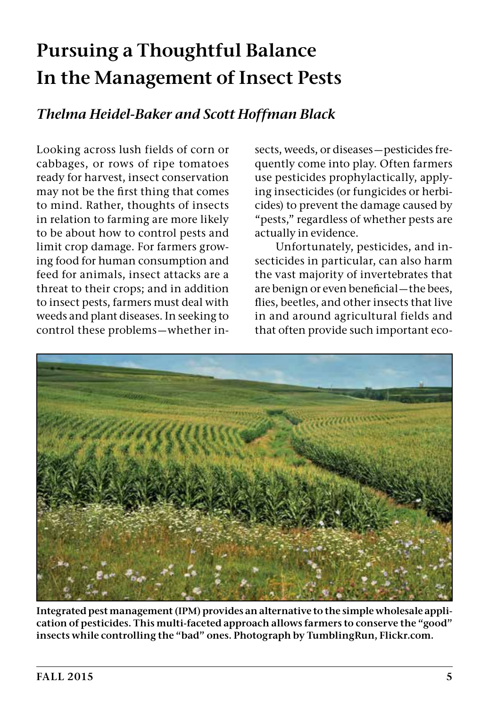### **Pursuing a Thoughtful Balance In the Management of Insect Pests**

#### *Thelma Heidel-Baker and Scott Hoffman Black*

Looking across lush fields of corn or cabbages, or rows of ripe tomatoes ready for harvest, insect conservation may not be the first thing that comes to mind. Rather, thoughts of insects in relation to farming are more likely to be about how to control pests and limit crop damage. For farmers growing food for human consumption and feed for animals, insect attacks are a threat to their crops; and in addition to insect pests, farmers must deal with weeds and plant diseases. In seeking to control these problems—whether insects, weeds, or diseases—pesticides frequently come into play. Often farmers use pesticides prophylactically, applying insecticides (or fungicides or herbicides) to prevent the damage caused by "pests," regardless of whether pests are actually in evidence.

Unfortunately, pesticides, and insecticides in particular, can also harm the vast majority of invertebrates that are benign or even beneficial—the bees, flies, beetles, and other insects that live in and around agricultural fields and that often provide such important eco-



**Integrated pest management (IPM) provides an alternative to the simple wholesale application of pesticides. This multi-faceted approach allows farmers to conserve the "good" insects while controlling the "bad" ones. Photograph by TumblingRun, Flickr.com.**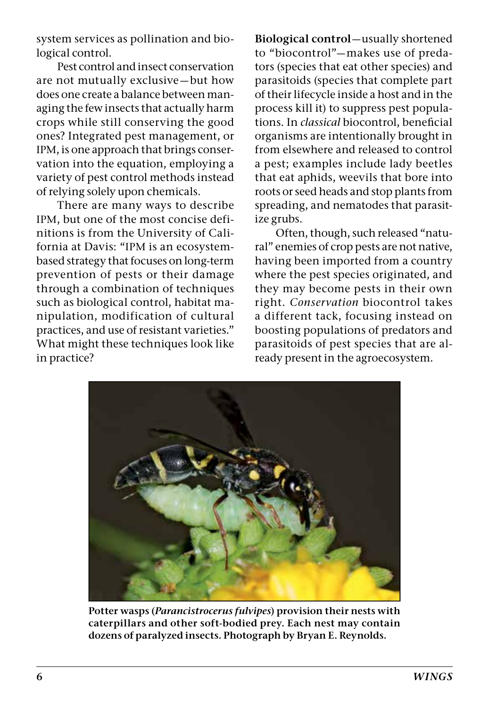system services as pollination and biological control.

Pest control and insect conservation are not mutually exclusive—but how does one create a balance between managing the few insects that actually harm crops while still conserving the good ones? Integrated pest management, or IPM, is one approach that brings conservation into the equation, employing a variety of pest control methods instead of relying solely upon chemicals.

There are many ways to describe IPM, but one of the most concise definitions is from the University of California at Davis: "IPM is an ecosystembased strategy that focuses on long-term prevention of pests or their damage through a combination of techniques such as biological control, habitat manipulation, modification of cultural practices, and use of resistant varieties." What might these techniques look like in practice?

**Biological control**—usually shortened to "biocontrol"—makes use of predators (species that eat other species) and parasitoids (species that complete part of their lifecycle inside a host and in the process kill it) to suppress pest populations. In *classical* biocontrol, beneficial organisms are intentionally brought in from elsewhere and released to control a pest; examples include lady beetles that eat aphids, weevils that bore into roots or seed heads and stop plants from spreading, and nematodes that parasitize grubs.

Often, though, such released "natural" enemies of crop pests are not native, having been imported from a country where the pest species originated, and they may become pests in their own right. *Conservation* biocontrol takes a different tack, focusing instead on boosting populations of predators and parasitoids of pest species that are already present in the agroecosystem.



**Potter wasps (***Parancistrocerus fulvipes***) provision their nests with caterpillars and other soft-bodied prey. Each nest may contain dozens of paralyzed insects. Photograph by Bryan E. Reynolds.**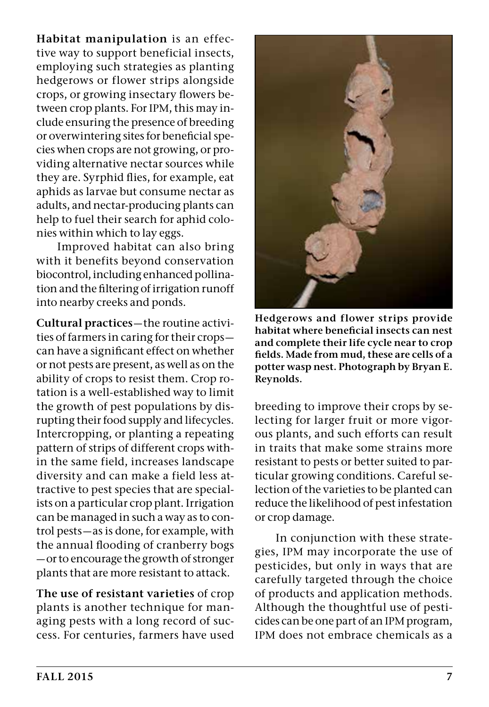**Habitat manipulation** is an effective way to support beneficial insects, employing such strategies as planting hedgerows or flower strips alongside crops, or growing insectary flowers between crop plants. For IPM, this may include ensuring the presence of breeding or overwintering sites for beneficial species when crops are not growing, or providing alternative nectar sources while they are. Syrphid flies, for example, eat aphids as larvae but consume nectar as adults, and nectar-producing plants can help to fuel their search for aphid colonies within which to lay eggs.

Improved habitat can also bring with it benefits beyond conservation biocontrol, including enhanced pollination and the filtering of irrigation runoff into nearby creeks and ponds.

**Cultural practices**—the routine activities of farmers in caring for their crops can have a significant effect on whether or not pests are present, as well as on the ability of crops to resist them. Crop rotation is a well-established way to limit the growth of pest populations by disrupting their food supply and lifecycles. Intercropping, or planting a repeating pattern of strips of different crops within the same field, increases landscape diversity and can make a field less attractive to pest species that are specialists on a particular crop plant. Irrigation can be managed in such a way as to control pests—as is done, for example, with the annual flooding of cranberry bogs —or to encourage the growth of stronger plants that are more resistant to attack.

**The use of resistant varieties** of crop plants is another technique for managing pests with a long record of success. For centuries, farmers have used



**Hedgerows and flower strips provide habitat where beneficial insects can nest and complete their life cycle near to crop fields. Made from mud, these are cells of a potter wasp nest. Photograph by Bryan E. Reynolds.**

breeding to improve their crops by selecting for larger fruit or more vigorous plants, and such efforts can result in traits that make some strains more resistant to pests or better suited to particular growing conditions. Careful selection of the varieties to be planted can reduce the likelihood of pest infestation or crop damage.

In conjunction with these strategies, IPM may incorporate the use of pesticides, but only in ways that are carefully targeted through the choice of products and application methods. Although the thoughtful use of pesticides can be one part of an IPM program, IPM does not embrace chemicals as a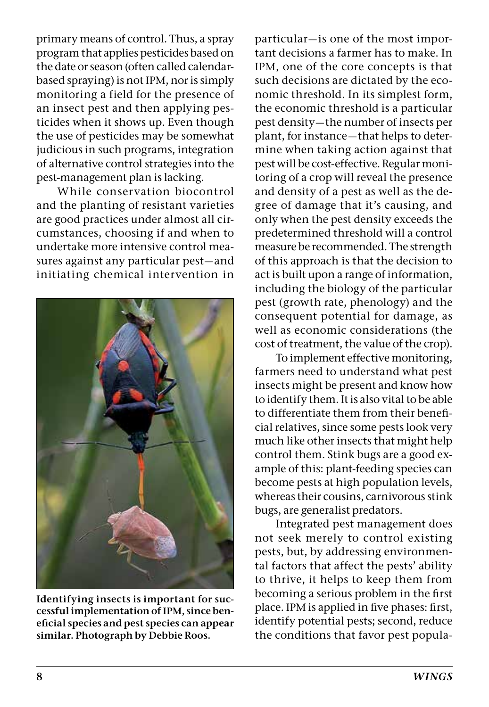primary means of control. Thus, a spray program that applies pesticides based on the date or season (often called calendarbased spraying) is not IPM, nor is simply monitoring a field for the presence of an insect pest and then applying pesticides when it shows up. Even though the use of pesticides may be somewhat judicious in such programs, integration of alternative control strategies into the pest-management plan is lacking.

While conservation biocontrol and the planting of resistant varieties are good practices under almost all circumstances, choosing if and when to undertake more intensive control measures against any particular pest—and initiating chemical intervention in



**Identifying insects is important for successful implementation of IPM, since beneficial species and pest species can appear similar. Photograph by Debbie Roos.**

particular—is one of the most important decisions a farmer has to make. In IPM, one of the core concepts is that such decisions are dictated by the economic threshold. In its simplest form, the economic threshold is a particular pest density—the number of insects per plant, for instance—that helps to determine when taking action against that pest will be cost-effective. Regular monitoring of a crop will reveal the presence and density of a pest as well as the degree of damage that it's causing, and only when the pest density exceeds the predetermined threshold will a control measure be recommended. The strength of this approach is that the decision to act is built upon a range of information, including the biology of the particular pest (growth rate, phenology) and the consequent potential for damage, as well as economic considerations (the cost of treatment, the value of the crop).

To implement effective monitoring, farmers need to understand what pest insects might be present and know how to identify them. It is also vital to be able to differentiate them from their beneficial relatives, since some pests look very much like other insects that might help control them. Stink bugs are a good example of this: plant-feeding species can become pests at high population levels, whereas their cousins, carnivorous stink bugs, are generalist predators.

Integrated pest management does not seek merely to control existing pests, but, by addressing environmental factors that affect the pests' ability to thrive, it helps to keep them from becoming a serious problem in the first place. IPM is applied in five phases: first, identify potential pests; second, reduce the conditions that favor pest popula-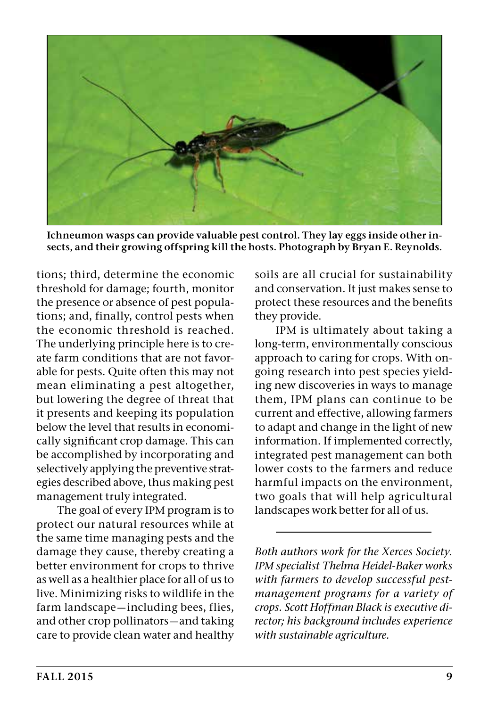

**Ichneumon wasps can provide valuable pest control. They lay eggs inside other insects, and their growing offspring kill the hosts. Photograph by Bryan E. Reynolds.**

tions; third, determine the economic threshold for damage; fourth, monitor the presence or absence of pest populations; and, finally, control pests when the economic threshold is reached. The underlying principle here is to create farm conditions that are not favorable for pests. Quite often this may not mean eliminating a pest altogether, but lowering the degree of threat that it presents and keeping its population below the level that results in economically significant crop damage. This can be accomplished by incorporating and selectively applying the preventive strategies described above, thus making pest management truly integrated.

The goal of every IPM program is to protect our natural resources while at the same time managing pests and the damage they cause, thereby creating a better environment for crops to thrive as well as a healthier place for all of us to live. Minimizing risks to wildlife in the farm landscape—including bees, flies, and other crop pollinators—and taking care to provide clean water and healthy

soils are all crucial for sustainability and conservation. It just makes sense to protect these resources and the benefits they provide.

IPM is ultimately about taking a long-term, environmentally conscious approach to caring for crops. With ongoing research into pest species yielding new discoveries in ways to manage them, IPM plans can continue to be current and effective, allowing farmers to adapt and change in the light of new information. If implemented correctly, integrated pest management can both lower costs to the farmers and reduce harmful impacts on the environment, two goals that will help agricultural landscapes work better for all of us.

*Both authors work for the Xerces Society. IPM specialist Thelma Heidel-Baker works with farmers to develop successful pestmanagement programs for a variety of crops. Scott Hoffman Black is executive director; his background includes experience with sustainable agriculture.*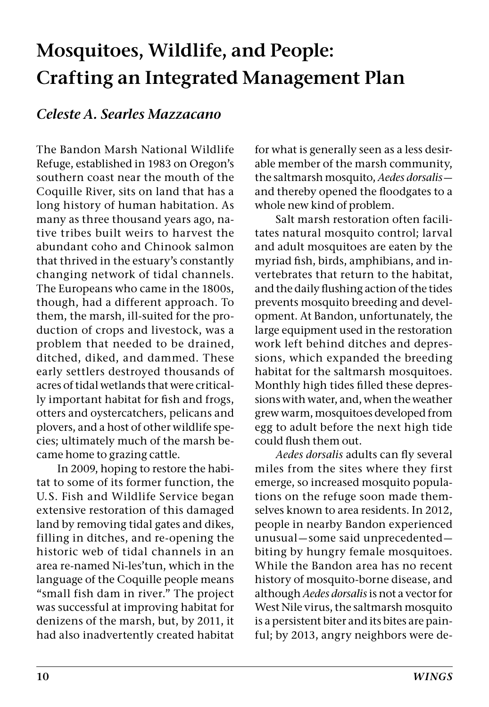### **Mosquitoes, Wildlife, and People: Crafting an Integrated Management Plan**

#### *Celeste A. Searles Mazzacano*

The Bandon Marsh National Wildlife Refuge, established in 1983 on Oregon's southern coast near the mouth of the Coquille River, sits on land that has a long history of human habitation. As many as three thousand years ago, native tribes built weirs to harvest the abundant coho and Chinook salmon that thrived in the estuary's constantly changing network of tidal channels. The Europeans who came in the 1800s, though, had a different approach. To them, the marsh, ill-suited for the production of crops and livestock, was a problem that needed to be drained, ditched, diked, and dammed. These early settlers destroyed thousands of acres of tidal wetlands that were critically important habitat for fish and frogs, otters and oystercatchers, pelicans and plovers, and a host of other wildlife species; ultimately much of the marsh became home to grazing cattle.

In 2009, hoping to restore the habitat to some of its former function, the U. S. Fish and Wildlife Service began extensive restoration of this damaged land by removing tidal gates and dikes, filling in ditches, and re-opening the historic web of tidal channels in an area re-named Ni-les'tun, which in the language of the Coquille people means "small fish dam in river." The project was successful at improving habitat for denizens of the marsh, but, by 2011, it had also inadvertently created habitat

for what is generally seen as a less desirable member of the marsh community, the saltmarsh mosquito, *Aedes dorsalis* and thereby opened the floodgates to a whole new kind of problem.

Salt marsh restoration often facilitates natural mosquito control; larval and adult mosquitoes are eaten by the myriad fish, birds, amphibians, and invertebrates that return to the habitat, and the daily flushing action of the tides prevents mosquito breeding and development. At Bandon, unfortunately, the large equipment used in the restoration work left behind ditches and depressions, which expanded the breeding habitat for the saltmarsh mosquitoes. Monthly high tides filled these depressions with water, and, when the weather grew warm, mosquitoes developed from egg to adult before the next high tide could flush them out.

*Aedes dorsalis* adults can fly several miles from the sites where they first emerge, so increased mosquito populations on the refuge soon made themselves known to area residents. In 2012, people in nearby Bandon experienced unusual—some said unprecedented biting by hungry female mosquitoes. While the Bandon area has no recent history of mosquito-borne disease, and although *Aedes dorsalis* is not a vector for West Nile virus, the saltmarsh mosquito is a persistent biter and its bites are painful; by 2013, angry neighbors were de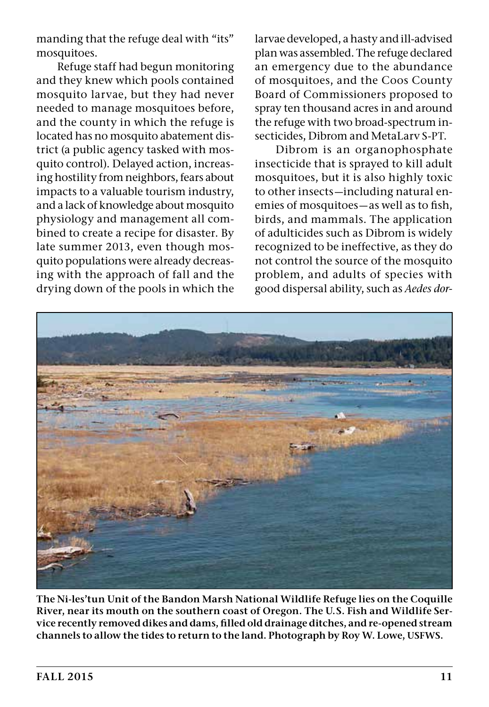manding that the refuge deal with "its" mosquitoes.

Refuge staff had begun monitoring and they knew which pools contained mosquito larvae, but they had never needed to manage mosquitoes before, and the county in which the refuge is located has no mosquito abatement district (a public agency tasked with mosquito control). Delayed action, increasing hostility from neighbors, fears about impacts to a valuable tourism industry, and a lack of knowledge about mosquito physiology and management all combined to create a recipe for disaster. By late summer 2013, even though mosquito populations were already decreasing with the approach of fall and the drying down of the pools in which the

larvae developed, a hasty and ill-advised plan was assembled. The refuge declared an emergency due to the abundance of mosquitoes, and the Coos County Board of Commissioners proposed to spray ten thousand acres in and around the refuge with two broad-spectrum insecticides, Dibrom and MetaLarv S-PT.

Dibrom is an organophosphate insecticide that is sprayed to kill adult mosquitoes, but it is also highly toxic to other insects—including natural enemies of mosquitoes—as well as to fish, birds, and mammals. The application of adulticides such as Dibrom is widely recognized to be ineffective, as they do not control the source of the mosquito problem, and adults of species with good dispersal ability, such as *Aedes dor-*



**The Ni-les'tun Unit of the Bandon Marsh National Wildlife Refuge lies on the Coquille River, near its mouth on the southern coast of Oregon. The U.S. Fish and Wildlife Service recently removed dikes and dams, filled old drainage ditches, and re-opened stream channels to allow the tides to return to the land. Photograph by Roy W. Lowe, USFWS.**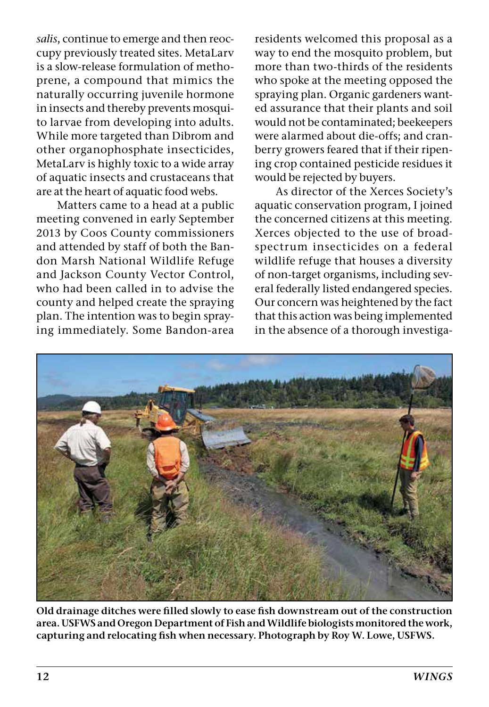*salis*, continue to emerge and then reoccupy previously treated sites. MetaLarv is a slow-release formulation of methoprene, a compound that mimics the naturally occurring juvenile hormone in insects and thereby prevents mosquito larvae from developing into adults. While more targeted than Dibrom and other organophosphate insecticides, MetaLarv is highly toxic to a wide array of aquatic insects and crustaceans that are at the heart of aquatic food webs.

Matters came to a head at a public meeting convened in early September 2013 by Coos County commissioners and attended by staff of both the Bandon Marsh National Wildlife Refuge and Jackson County Vector Control, who had been called in to advise the county and helped create the spraying plan. The intention was to begin spraying immediately. Some Bandon-area

residents welcomed this proposal as a way to end the mosquito problem, but more than two-thirds of the residents who spoke at the meeting opposed the spraying plan. Organic gardeners wanted assurance that their plants and soil would not be contaminated; beekeepers were alarmed about die-offs; and cranberry growers feared that if their ripening crop contained pesticide residues it would be rejected by buyers.

As director of the Xerces Society's aquatic conservation program, I joined the concerned citizens at this meeting. Xerces objected to the use of broadspectrum insecticides on a federal wildlife refuge that houses a diversity of non-target organisms, including several federally listed endangered species. Our concern was heightened by the fact that this action was being implemented in the absence of a thorough investiga-



**Old drainage ditches were filled slowly to ease fish downstream out of the construction area. USFWS and Oregon Department of Fish and Wildlife biologists monitored the work, capturing and relocating fish when necessary. Photograph by Roy W. Lowe, USFWS.**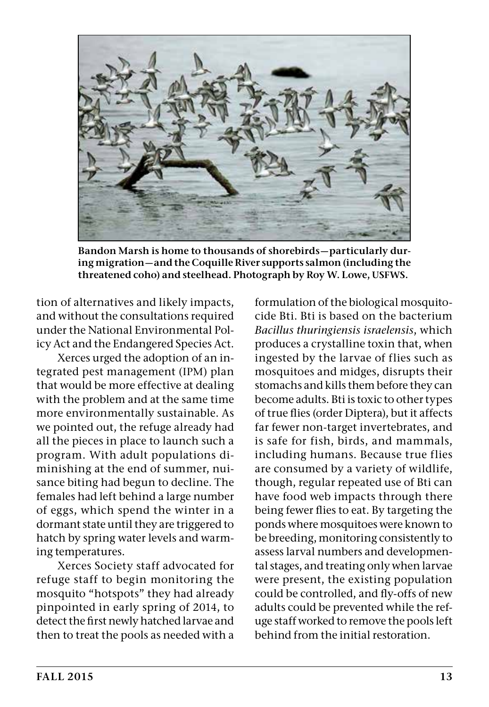

**Bandon Marsh is home to thousands of shorebirds—particularly during migration—and the Coquille River supports salmon (including the threatened coho) and steelhead. Photograph by Roy W. Lowe, USFWS.**

tion of alternatives and likely impacts, and without the consultations required under the National Environmental Policy Act and the Endangered Species Act.

Xerces urged the adoption of an integrated pest management (IPM) plan that would be more effective at dealing with the problem and at the same time more environmentally sustainable. As we pointed out, the refuge already had all the pieces in place to launch such a program. With adult populations diminishing at the end of summer, nuisance biting had begun to decline. The females had left behind a large number of eggs, which spend the winter in a dormant state until they are triggered to hatch by spring water levels and warming temperatures.

Xerces Society staff advocated for refuge staff to begin monitoring the mosquito "hotspots" they had already pinpointed in early spring of 2014, to detect the first newly hatched larvae and then to treat the pools as needed with a

formulation of the biological mosquitocide Bti. Bti is based on the bacterium *Bacillus thuringiensis israelensis*, which produces a crystalline toxin that, when ingested by the larvae of flies such as mosquitoes and midges, disrupts their stomachs and kills them before they can become adults. Bti is toxic to other types of true flies (order Diptera), but it affects far fewer non-target invertebrates, and is safe for fish, birds, and mammals, including humans. Because true flies are consumed by a variety of wildlife, though, regular repeated use of Bti can have food web impacts through there being fewer flies to eat. By targeting the ponds where mosquitoes were known to be breeding, monitoring consistently to assess larval numbers and developmental stages, and treating only when larvae were present, the existing population could be controlled, and fly-offs of new adults could be prevented while the refuge staff worked to remove the pools left behind from the initial restoration.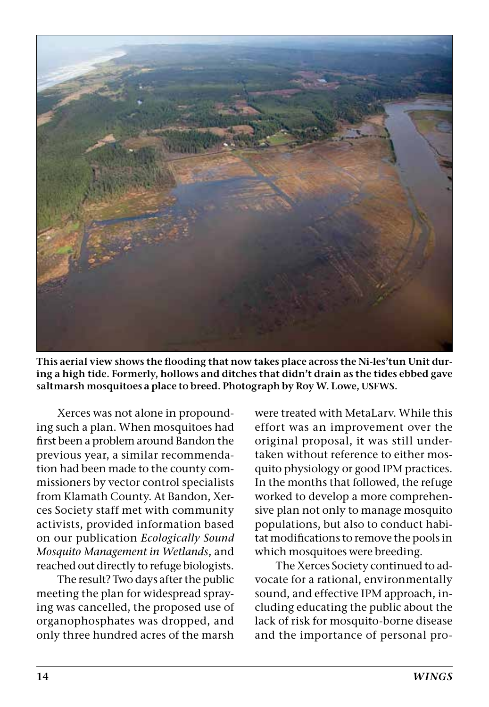

**This aerial view shows the flooding that now takes place across the Ni-les'tun Unit during a high tide. Formerly, hollows and ditches that didn't drain as the tides ebbed gave saltmarsh mosquitoes a place to breed. Photograph by Roy W. Lowe, USFWS.**

Xerces was not alone in propounding such a plan. When mosquitoes had first been a problem around Bandon the previous year, a similar recommendation had been made to the county commissioners by vector control specialists from Klamath County. At Bandon, Xerces Society staff met with community activists, provided information based on our publication *Ecologically Sound Mosquito Management in Wetlands*, and reached out directly to refuge biologists.

The result? Two days after the public meeting the plan for widespread spraying was cancelled, the proposed use of organophosphates was dropped, and only three hundred acres of the marsh

were treated with MetaLarv. While this effort was an improvement over the original proposal, it was still undertaken without reference to either mosquito physiology or good IPM practices. In the months that followed, the refuge worked to develop a more comprehensive plan not only to manage mosquito populations, but also to conduct habitat modifications to remove the pools in which mosquitoes were breeding.

The Xerces Society continued to advocate for a rational, environmentally sound, and effective IPM approach, including educating the public about the lack of risk for mosquito-borne disease and the importance of personal pro-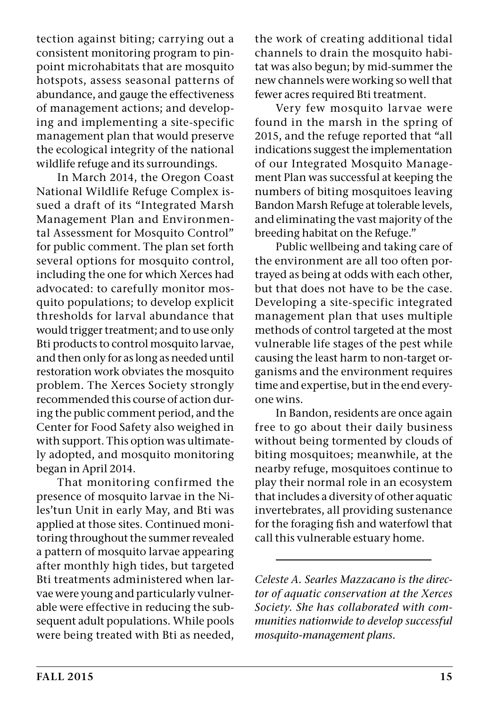tection against biting; carrying out a consistent monitoring program to pinpoint microhabitats that are mosquito hotspots, assess seasonal patterns of abundance, and gauge the effectiveness of management actions; and developing and implementing a site-specific management plan that would preserve the ecological integrity of the national wildlife refuge and its surroundings.

In March 2014, the Oregon Coast National Wildlife Refuge Complex issued a draft of its "Integrated Marsh Management Plan and Environmental Assessment for Mosquito Control" for public comment. The plan set forth several options for mosquito control, including the one for which Xerces had advocated: to carefully monitor mosquito populations; to develop explicit thresholds for larval abundance that would trigger treatment; and to use only Bti products to control mosquito larvae, and then only for as long as needed until restoration work obviates the mosquito problem. The Xerces Society strongly recommended this course of action during the public comment period, and the Center for Food Safety also weighed in with support. This option was ultimately adopted, and mosquito monitoring began in April 2014.

That monitoring confirmed the presence of mosquito larvae in the Niles'tun Unit in early May, and Bti was applied at those sites. Continued monitoring throughout the summer revealed a pattern of mosquito larvae appearing after monthly high tides, but targeted Bti treatments administered when larvae were young and particularly vulnerable were effective in reducing the subsequent adult populations. While pools were being treated with Bti as needed, the work of creating additional tidal channels to drain the mosquito habitat was also begun; by mid-summer the new channels were working so well that fewer acres required Bti treatment.

Very few mosquito larvae were found in the marsh in the spring of 2015, and the refuge reported that "all indications suggest the implementation of our Integrated Mosquito Management Plan was successful at keeping the numbers of biting mosquitoes leaving Bandon Marsh Refuge at tolerable levels, and eliminating the vast majority of the breeding habitat on the Refuge."

Public wellbeing and taking care of the environment are all too often portrayed as being at odds with each other, but that does not have to be the case. Developing a site-specific integrated management plan that uses multiple methods of control targeted at the most vulnerable life stages of the pest while causing the least harm to non-target organisms and the environment requires time and expertise, but in the end everyone wins.

In Bandon, residents are once again free to go about their daily business without being tormented by clouds of biting mosquitoes; meanwhile, at the nearby refuge, mosquitoes continue to play their normal role in an ecosystem that includes a diversity of other aquatic invertebrates, all providing sustenance for the foraging fish and waterfowl that call this vulnerable estuary home.

*Celeste A. Searles Mazzacano is the director of aquatic conservation at the Xerces Society. She has collaborated with communities nationwide to develop successful mosquito-management plans.*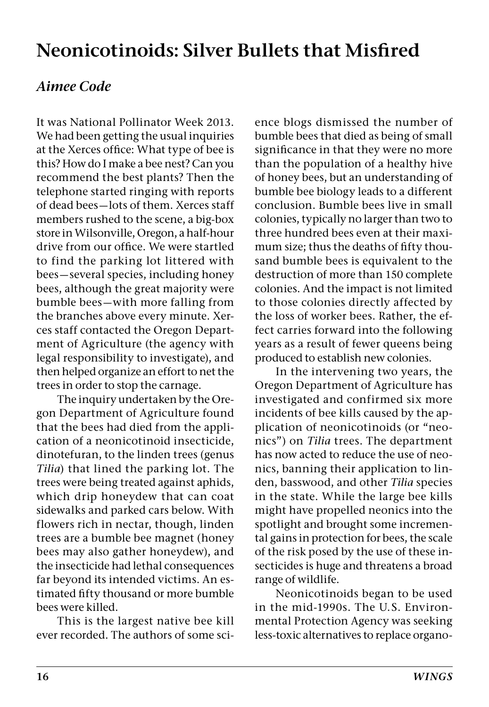### **Neonicotinoids: Silver Bullets that Misfired**

#### *Aimee Code*

It was National Pollinator Week 2013. We had been getting the usual inquiries at the Xerces office: What type of bee is this? How do I make a bee nest? Can you recommend the best plants? Then the telephone started ringing with reports of dead bees—lots of them. Xerces staff members rushed to the scene, a big-box store in Wilsonville, Oregon, a half-hour drive from our office. We were startled to find the parking lot littered with bees—several species, including honey bees, although the great majority were bumble bees—with more falling from the branches above every minute. Xerces staff contacted the Oregon Department of Agriculture (the agency with legal responsibility to investigate), and then helped organize an effort to net the trees in order to stop the carnage.

The inquiry undertaken by the Oregon Department of Agriculture found that the bees had died from the application of a neonicotinoid insecticide, dinotefuran, to the linden trees (genus *Tilia*) that lined the parking lot. The trees were being treated against aphids, which drip honeydew that can coat sidewalks and parked cars below. With flowers rich in nectar, though, linden trees are a bumble bee magnet (honey bees may also gather honeydew), and the insecticide had lethal consequences far beyond its intended victims. An estimated fifty thousand or more bumble bees were killed.

This is the largest native bee kill ever recorded. The authors of some science blogs dismissed the number of bumble bees that died as being of small significance in that they were no more than the population of a healthy hive of honey bees, but an understanding of bumble bee biology leads to a different conclusion. Bumble bees live in small colonies, typically no larger than two to three hundred bees even at their maximum size; thus the deaths of fifty thousand bumble bees is equivalent to the destruction of more than 150 complete colonies. And the impact is not limited to those colonies directly affected by the loss of worker bees. Rather, the effect carries forward into the following years as a result of fewer queens being produced to establish new colonies.

In the intervening two years, the Oregon Department of Agriculture has investigated and confirmed six more incidents of bee kills caused by the application of neonicotinoids (or "neonics") on *Tilia* trees. The department has now acted to reduce the use of neonics, banning their application to linden, basswood, and other *Tilia* species in the state. While the large bee kills might have propelled neonics into the spotlight and brought some incremental gains in protection for bees, the scale of the risk posed by the use of these insecticides is huge and threatens a broad range of wildlife.

Neonicotinoids began to be used in the mid-1990s. The U.S. Environmental Protection Agency was seeking less-toxic alternatives to replace organo-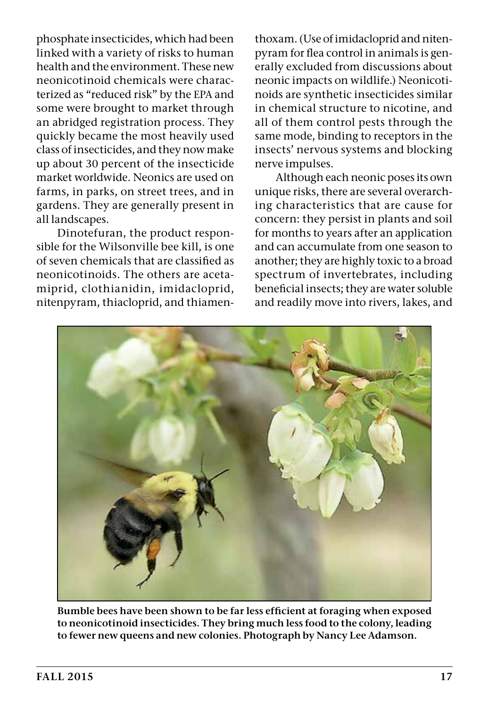phosphate insecticides, which had been linked with a variety of risks to human health and the environment. These new neonicotinoid chemicals were characterized as "reduced risk" by the EPA and some were brought to market through an abridged registration process. They quickly became the most heavily used class of insecticides, and they now make up about 30 percent of the insecticide market worldwide. Neonics are used on farms, in parks, on street trees, and in gardens. They are generally present in all landscapes.

Dinotefuran, the product responsible for the Wilsonville bee kill, is one of seven chemicals that are classified as neonicotinoids. The others are acetamiprid, clothianidin, imidacloprid, nitenpyram, thiacloprid, and thiamen-

thoxam. (Use of imidacloprid and nitenpyram for flea control in animals is generally excluded from discussions about neonic impacts on wildlife.) Neonicotinoids are synthetic insecticides similar in chemical structure to nicotine, and all of them control pests through the same mode, binding to receptors in the insects' nervous systems and blocking nerve impulses.

Although each neonic poses its own unique risks, there are several overarching characteristics that are cause for concern: they persist in plants and soil for months to years after an application and can accumulate from one season to another; they are highly toxic to a broad spectrum of invertebrates, including beneficial insects; they are water soluble and readily move into rivers, lakes, and



**Bumble bees have been shown to be far less efficient at foraging when exposed to neonicotinoid insecticides. They bring much less food to the colony, leading to fewer new queens and new colonies. Photograph by Nancy Lee Adamson.**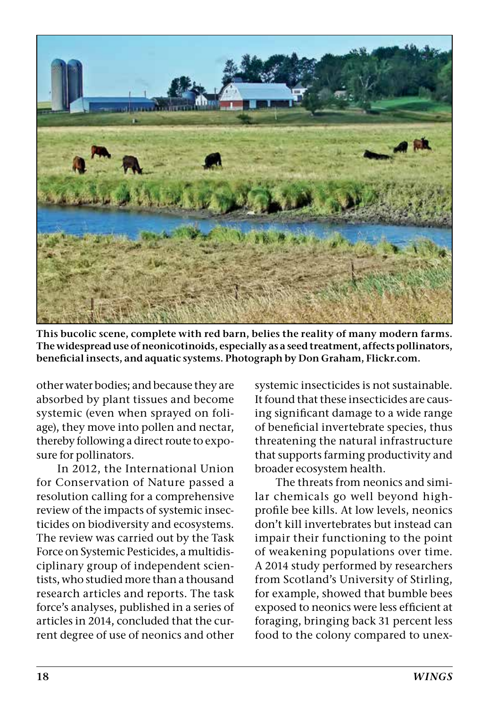

**This bucolic scene, complete with red barn, belies the reality of many modern farms. The widespread use of neonicotinoids, especially as a seed treatment, affects pollinators, beneficial insects, and aquatic systems. Photograph by Don Graham, Flickr.com.**

other water bodies; and because they are absorbed by plant tissues and become systemic (even when sprayed on foliage), they move into pollen and nectar, thereby following a direct route to exposure for pollinators.

In 2012, the International Union for Conservation of Nature passed a resolution calling for a comprehensive review of the impacts of systemic insecticides on biodiversity and ecosystems. The review was carried out by the Task Force on Systemic Pesticides, a multidisciplinary group of independent scientists, who studied more than a thousand research articles and reports. The task force's analyses, published in a series of articles in 2014, concluded that the current degree of use of neonics and other

systemic insecticides is not sustainable. It found that these insecticides are causing significant damage to a wide range of beneficial invertebrate species, thus threatening the natural infrastructure that supports farming productivity and broader ecosystem health.

The threats from neonics and similar chemicals go well beyond highprofile bee kills. At low levels, neonics don't kill invertebrates but instead can impair their functioning to the point of weakening populations over time. A 2014 study performed by researchers from Scotland's University of Stirling, for example, showed that bumble bees exposed to neonics were less efficient at foraging, bringing back 31 percent less food to the colony compared to unex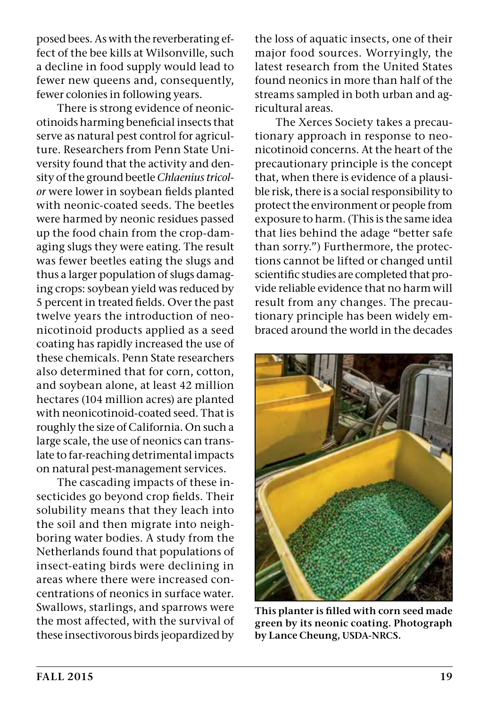posed bees. As with the reverberating effect of the bee kills at Wilsonville, such a decline in food supply would lead to fewer new queens and, consequently, fewer colonies in following years.

There is strong evidence of neonicotinoids harming beneficial insects that serve as natural pest control for agriculture. Researchers from Penn State University found that the activity and density of the ground beetle *Chlaenius tricolor* were lower in soybean fields planted with neonic-coated seeds. The beetles were harmed by neonic residues passed up the food chain from the crop-damaging slugs they were eating. The result was fewer beetles eating the slugs and thus a larger population of slugs damaging crops: soybean yield was reduced by 5 percent in treated fields. Over the past twelve years the introduction of neonicotinoid products applied as a seed coating has rapidly increased the use of these chemicals. Penn State researchers also determined that for corn, cotton, and soybean alone, at least 42 million hectares (104 million acres) are planted with neonicotinoid-coated seed. That is roughly the size of California. On such a large scale, the use of neonics can translate to far-reaching detrimental impacts on natural pest-management services.

The cascading impacts of these insecticides go beyond crop fields. Their solubility means that they leach into the soil and then migrate into neighboring water bodies. A study from the Netherlands found that populations of insect-eating birds were declining in areas where there were increased concentrations of neonics in surface water. Swallows, starlings, and sparrows were the most affected, with the survival of these insectivorous birds jeopardized by

the loss of aquatic insects, one of their major food sources. Worryingly, the latest research from the United States found neonics in more than half of the streams sampled in both urban and agricultural areas.

The Xerces Society takes a precautionary approach in response to neonicotinoid concerns. At the heart of the precautionary principle is the concept that, when there is evidence of a plausible risk, there is a social responsibility to protect the environment or people from exposure to harm. (This is the same idea that lies behind the adage "better safe than sorry.") Furthermore, the protections cannot be lifted or changed until scientific studies are completed that provide reliable evidence that no harm will result from any changes. The precautionary principle has been widely embraced around the world in the decades



**This planter is filled with corn seed made green by its neonic coating. Photograph by Lance Cheung, USDA-NRCS.**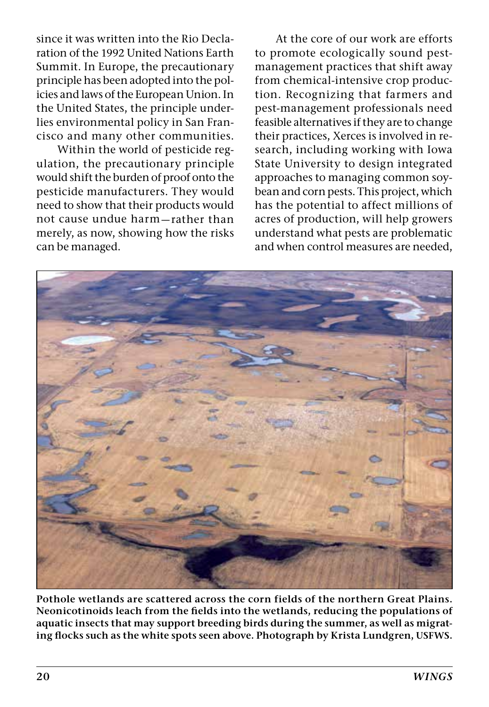since it was written into the Rio Declaration of the 1992 United Nations Earth Summit. In Europe, the precautionary principle has been adopted into the policies and laws of the European Union. In the United States, the principle underlies environmental policy in San Francisco and many other communities.

Within the world of pesticide regulation, the precautionary principle would shift the burden of proof onto the pesticide manufacturers. They would need to show that their products would not cause undue harm—rather than merely, as now, showing how the risks can be managed.

At the core of our work are efforts to promote ecologically sound pestmanagement practices that shift away from chemical-intensive crop production. Recognizing that farmers and pest-management professionals need feasible alternatives if they are to change their practices, Xerces is involved in research, including working with Iowa State University to design integrated approaches to managing common soybean and corn pests. This project, which has the potential to affect millions of acres of production, will help growers understand what pests are problematic and when control measures are needed,



**Pothole wetlands are scattered across the corn fields of the northern Great Plains. Neonicotinoids leach from the fields into the wetlands, reducing the populations of aquatic insects that may support breeding birds during the summer, as well as migrating flocks such as the white spots seen above. Photograph by Krista Lundgren, USFWS.**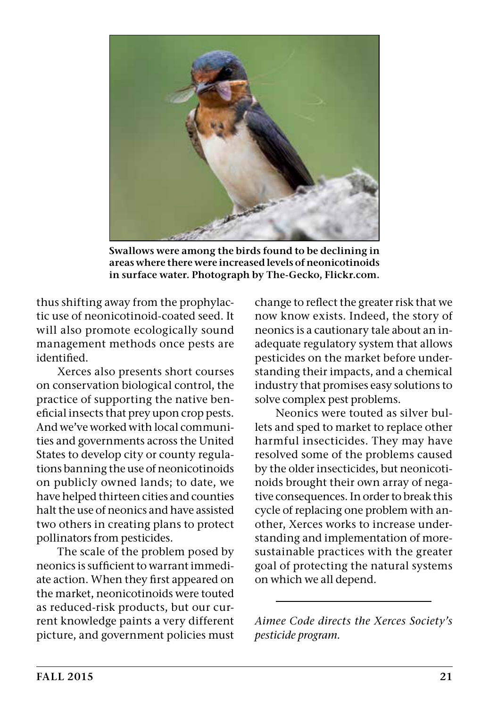

**Swallows were among the birds found to be declining in areas where there were increased levels of neonicotinoids in surface water. Photograph by The-Gecko, Flickr.com.**

thus shifting away from the prophylactic use of neonicotinoid-coated seed. It will also promote ecologically sound management methods once pests are identified.

Xerces also presents short courses on conservation biological control, the practice of supporting the native beneficial insects that prey upon crop pests. And we've worked with local communities and governments across the United States to develop city or county regulations banning the use of neonicotinoids on publicly owned lands; to date, we have helped thirteen cities and counties halt the use of neonics and have assisted two others in creating plans to protect pollinators from pesticides.

The scale of the problem posed by neonics is sufficient to warrant immediate action. When they first appeared on the market, neonicotinoids were touted as reduced-risk products, but our current knowledge paints a very different picture, and government policies must change to reflect the greater risk that we now know exists. Indeed, the story of neonics is a cautionary tale about an inadequate regulatory system that allows pesticides on the market before understanding their impacts, and a chemical industry that promises easy solutions to solve complex pest problems.

Neonics were touted as silver bullets and sped to market to replace other harmful insecticides. They may have resolved some of the problems caused by the older insecticides, but neonicotinoids brought their own array of negative consequences. In order to break this cycle of replacing one problem with another, Xerces works to increase understanding and implementation of moresustainable practices with the greater goal of protecting the natural systems on which we all depend.

*Aimee Code directs the Xerces Society's pesticide program.*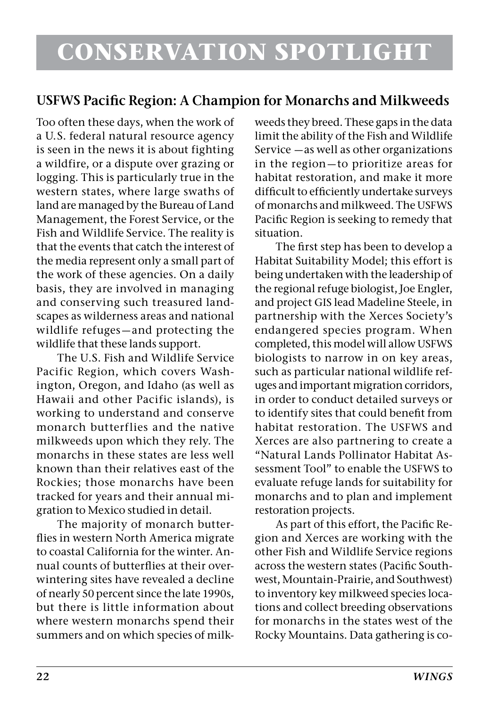#### **USFWS Pacific Region: A Champion for Monarchs and Milkweeds**

Too often these days, when the work of a U.S. federal natural resource agency is seen in the news it is about fighting a wildfire, or a dispute over grazing or logging. This is particularly true in the western states, where large swaths of land are managed by the Bureau of Land Management, the Forest Service, or the Fish and Wildlife Service. The reality is that the events that catch the interest of the media represent only a small part of the work of these agencies. On a daily basis, they are involved in managing and conserving such treasured landscapes as wilderness areas and national wildlife refuges—and protecting the wildlife that these lands support.

The U.S. Fish and Wildlife Service Pacific Region, which covers Washington, Oregon, and Idaho (as well as Hawaii and other Pacific islands), is working to understand and conserve monarch butterflies and the native milkweeds upon which they rely. The monarchs in these states are less well known than their relatives east of the Rockies; those monarchs have been tracked for years and their annual migration to Mexico studied in detail.

The majority of monarch butterflies in western North America migrate to coastal California for the winter. Annual counts of butterflies at their overwintering sites have revealed a decline of nearly 50 percent since the late 1990s, but there is little information about where western monarchs spend their summers and on which species of milk-

weeds they breed. These gaps in the data limit the ability of the Fish and Wildlife Service —as well as other organizations in the region—to prioritize areas for habitat restoration, and make it more difficult to efficiently undertake surveys of monarchs and milkweed. The USFWS Pacific Region is seeking to remedy that situation.

The first step has been to develop a Habitat Suitability Model; this effort is being undertaken with the leadership of the regional refuge biologist, Joe Engler, and project GIS lead Madeline Steele, in partnership with the Xerces Society's endangered species program. When completed, this model will allow USFWS biologists to narrow in on key areas, such as particular national wildlife refuges and important migration corridors, in order to conduct detailed surveys or to identify sites that could benefit from habitat restoration. The USFWS and Xerces are also partnering to create a "Natural Lands Pollinator Habitat Assessment Tool" to enable the USFWS to evaluate refuge lands for suitability for monarchs and to plan and implement restoration projects.

As part of this effort, the Pacific Region and Xerces are working with the other Fish and Wildlife Service regions across the western states (Pacific Southwest, Mountain-Prairie, and Southwest) to inventory key milkweed species locations and collect breeding observations for monarchs in the states west of the Rocky Mountains. Data gathering is co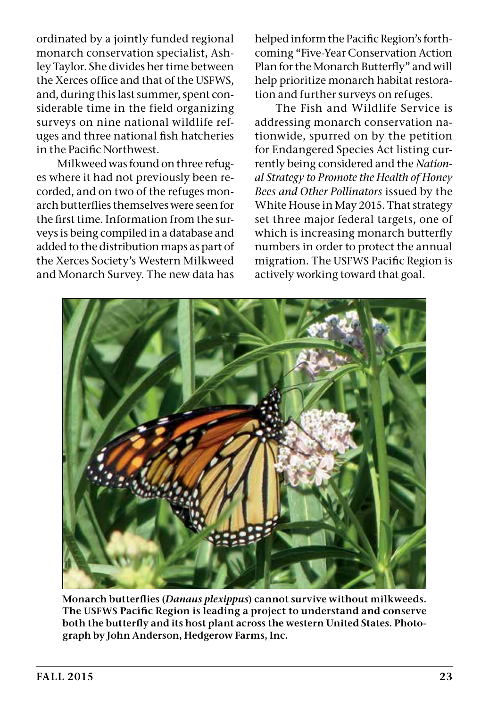ordinated by a jointly funded regional monarch conservation specialist, Ashley Taylor. She divides her time between the Xerces office and that of the USFWS, and, during this last summer, spent considerable time in the field organizing surveys on nine national wildlife refuges and three national fish hatcheries in the Pacific Northwest.

Milkweed was found on three refuges where it had not previously been recorded, and on two of the refuges monarch butterflies themselves were seen for the first time. Information from the surveys is being compiled in a database and added to the distribution maps as part of the Xerces Society's Western Milkweed and Monarch Survey. The new data has

helped inform the Pacific Region's forthcoming "Five-Year Conservation Action Plan for the Monarch Butterfly" and will help prioritize monarch habitat restoration and further surveys on refuges.

The Fish and Wildlife Service is addressing monarch conservation nationwide, spurred on by the petition for Endangered Species Act listing currently being considered and the *National Strategy to Promote the Health of Honey Bees and Other Pollinators* issued by the White House in May 2015. That strategy set three major federal targets, one of which is increasing monarch butterfly numbers in order to protect the annual migration. The USFWS Pacific Region is actively working toward that goal.



**Monarch butterflies (***Danaus plexippus***) cannot survive without milkweeds. The USFWS Pacific Region is leading a project to understand and conserve both the butterfly and its host plant across the western United States. Photograph by John Anderson, Hedgerow Farms, Inc.**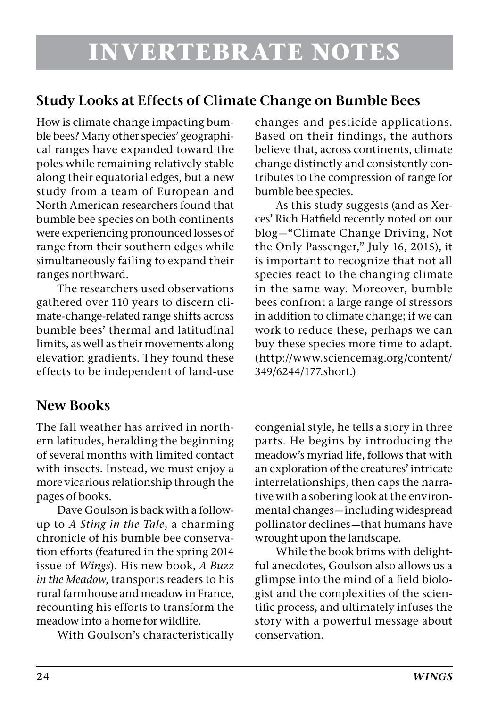### **Study Looks at Effects of Climate Change on Bumble Bees**

How is climate change impacting bumble bees? Many other species' geographical ranges have expanded toward the poles while remaining relatively stable along their equatorial edges, but a new study from a team of European and North American researchers found that bumble bee species on both continents were experiencing pronounced losses of range from their southern edges while simultaneously failing to expand their ranges northward.

The researchers used observations gathered over 110 years to discern climate-change-related range shifts across bumble bees' thermal and latitudinal limits, as well as their movements along elevation gradients. They found these effects to be independent of land-use

#### **New Books**

The fall weather has arrived in northern latitudes, heralding the beginning of several months with limited contact with insects. Instead, we must enjoy a more vicarious relationship through the pages of books.

Dave Goulson is back with a followup to *A Sting in the Tale*, a charming chronicle of his bumble bee conservation efforts (featured in the spring 2014 issue of *Wings*). His new book, *A Buzz in the Meadow*, transports readers to his rural farmhouse and meadow in France, recounting his efforts to transform the meadow into a home for wildlife.

With Goulson's characteristically

changes and pesticide applications. Based on their findings, the authors believe that, across continents, climate change distinctly and consistently contributes to the compression of range for bumble bee species.

As this study suggests (and as Xerces' Rich Hatfield recently noted on our blog—"Climate Change Driving, Not the Only Passenger," July 16, 2015), it is important to recognize that not all species react to the changing climate in the same way. Moreover, bumble bees confront a large range of stressors in addition to climate change; if we can work to reduce these, perhaps we can buy these species more time to adapt. (http://www.sciencemag.org/content/ 349/6244/177.short.)

congenial style, he tells a story in three parts. He begins by introducing the meadow's myriad life, follows that with an exploration of the creatures' intricate interrelationships, then caps the narrative with a sobering look at the environmental changes—including widespread pollinator declines—that humans have wrought upon the landscape.

While the book brims with delightful anecdotes, Goulson also allows us a glimpse into the mind of a field biologist and the complexities of the scientific process, and ultimately infuses the story with a powerful message about conservation.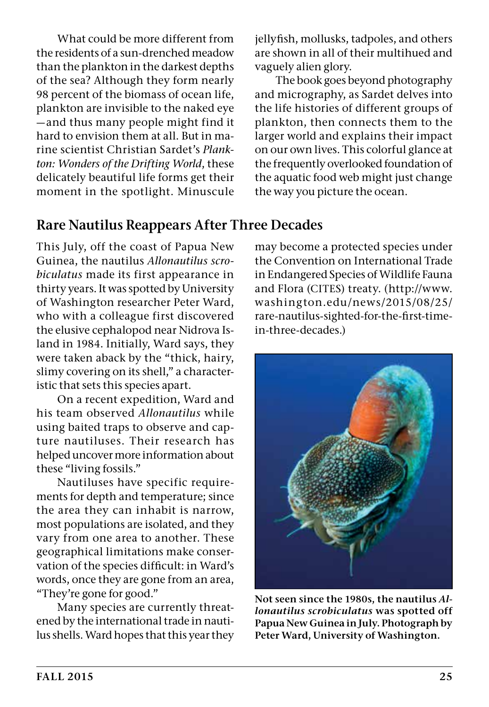What could be more different from the residents of a sun-drenched meadow than the plankton in the darkest depths of the sea? Although they form nearly 98 percent of the biomass of ocean life, plankton are invisible to the naked eye —and thus many people might find it hard to envision them at all. But in marine scientist Christian Sardet's *Plankton: Wonders of the Drifting World*, these delicately beautiful life forms get their moment in the spotlight. Minuscule jellyfish, mollusks, tadpoles, and others are shown in all of their multihued and vaguely alien glory.

The book goes beyond photography and micrography, as Sardet delves into the life histories of different groups of plankton, then connects them to the larger world and explains their impact on our own lives. This colorful glance at the frequently overlooked foundation of the aquatic food web might just change the way you picture the ocean.

#### **Rare Nautilus Reappears After Three Decades**

This July, off the coast of Papua New Guinea, the nautilus *Allonautilus scrobiculatus* made its first appearance in thirty years. It was spotted by University of Washington researcher Peter Ward, who with a colleague first discovered the elusive cephalopod near Nidrova Island in 1984. Initially, Ward says, they were taken aback by the "thick, hairy, slimy covering on its shell," a characteristic that sets this species apart.

On a recent expedition, Ward and his team observed *Allonautilus* while using baited traps to observe and capture nautiluses. Their research has helped uncover more information about these "living fossils."

Nautiluses have specific requirements for depth and temperature; since the area they can inhabit is narrow, most populations are isolated, and they vary from one area to another. These geographical limitations make conservation of the species difficult: in Ward's words, once they are gone from an area, "They're gone for good."

Many species are currently threatened by the international trade in nautilus shells. Ward hopes that this year they may become a protected species under the Convention on International Trade in Endangered Species of Wildlife Fauna and Flora (CITES) treaty. (http://www. washington.edu/news/2015/08/25/ rare-nautilus-sighted-for-the-first-timein-three-decades.)



**Not seen since the 1980s, the nautilus** *Allonautilus scrobiculatus* **was spotted off Papua New Guinea in July. Photograph by Peter Ward, University of Washington.**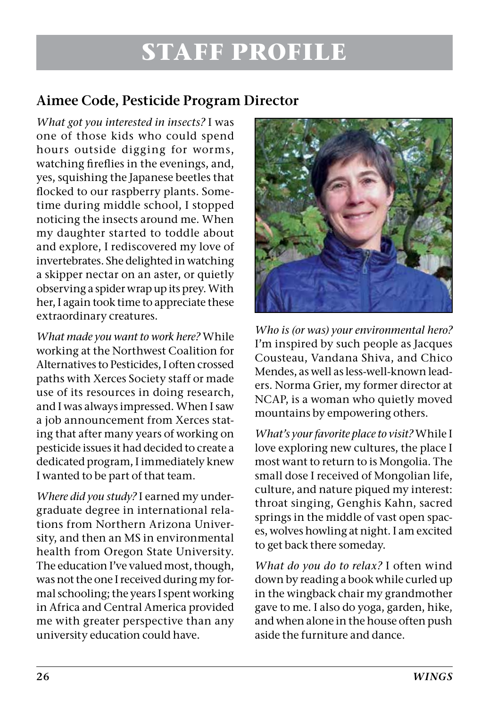### **STAFF PROFILE**

#### **Aimee Code, Pesticide Program Director**

*What got you interested in insects?* I was one of those kids who could spend hours outside digging for worms, watching fireflies in the evenings, and, yes, squishing the Japanese beetles that flocked to our raspberry plants. Sometime during middle school, I stopped noticing the insects around me. When my daughter started to toddle about and explore, I rediscovered my love of invertebrates. She delighted in watching a skipper nectar on an aster, or quietly observing a spider wrap up its prey. With her, I again took time to appreciate these extraordinary creatures.

*What made you want to work here?* While working at the Northwest Coalition for Alternatives to Pesticides, I often crossed paths with Xerces Society staff or made use of its resources in doing research, and I was always impressed. When I saw a job announcement from Xerces stating that after many years of working on pesticide issues it had decided to create a dedicated program, I immediately knew I wanted to be part of that team.

*Where did you study?* I earned my undergraduate degree in international relations from Northern Arizona University, and then an MS in environmental health from Oregon State University. The education I've valued most, though, was not the one I received during my formal schooling; the years I spent working in Africa and Central America provided me with greater perspective than any university education could have.



*Who is (or was) your environmental hero?*  I'm inspired by such people as Jacques Cousteau, Vandana Shiva, and Chico Mendes, as well as less-well-known leaders. Norma Grier, my former director at NCAP, is a woman who quietly moved mountains by empowering others.

*What's your favorite place to visit?* While I love exploring new cultures, the place I most want to return to is Mongolia. The small dose I received of Mongolian life, culture, and nature piqued my interest: throat singing, Genghis Kahn, sacred springs in the middle of vast open spaces, wolves howling at night. I am excited to get back there someday.

*What do you do to relax?* I often wind down by reading a book while curled up in the wingback chair my grandmother gave to me. I also do yoga, garden, hike, and when alone in the house often push aside the furniture and dance.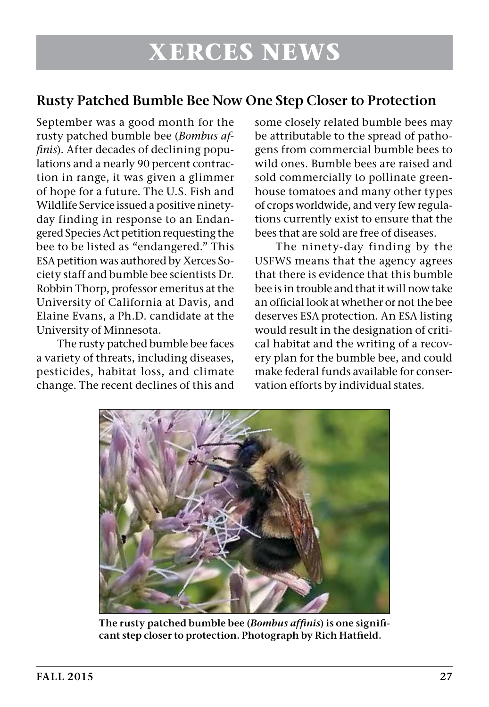#### **Rusty Patched Bumble Bee Now One Step Closer to Protection**

September was a good month for the rusty patched bumble bee (*Bombus affinis*). After decades of declining populations and a nearly 90 percent contraction in range, it was given a glimmer of hope for a future. The U.S. Fish and Wildlife Service issued a positive ninetyday finding in response to an Endangered Species Act petition requesting the bee to be listed as "endangered." This ESA petition was authored by Xerces Society staff and bumble bee scientists Dr. Robbin Thorp, professor emeritus at the University of California at Davis, and Elaine Evans, a Ph.D. candidate at the University of Minnesota.

The rusty patched bumble bee faces a variety of threats, including diseases, pesticides, habitat loss, and climate change. The recent declines of this and

some closely related bumble bees may be attributable to the spread of pathogens from commercial bumble bees to wild ones. Bumble bees are raised and sold commercially to pollinate greenhouse tomatoes and many other types of crops worldwide, and very few regulations currently exist to ensure that the bees that are sold are free of diseases.

The ninety-day finding by the USFWS means that the agency agrees that there is evidence that this bumble bee is in trouble and that it will now take an official look at whether or not the bee deserves ESA protection. An ESA listing would result in the designation of critical habitat and the writing of a recovery plan for the bumble bee, and could make federal funds available for conservation efforts by individual states.



**The rusty patched bumble bee (***Bombus affinis***) is one significant step closer to protection. Photograph by Rich Hatfield.**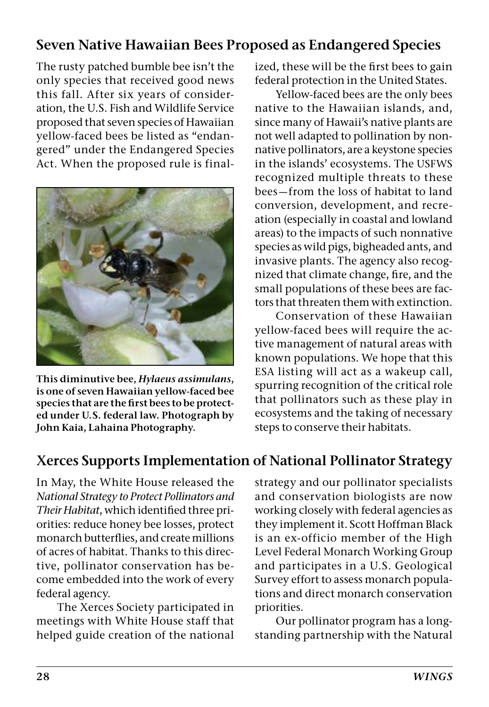#### **Seven Native Hawaiian Bees Proposed as Endangered Species**

The rusty patched bumble bee isn't the only species that received good news this fall. After six years of consideration, the U.S. Fish and Wildlife Service proposed that seven species of Hawaiian yellow-faced bees be listed as "endangered" under the Endangered Species Act. When the proposed rule is final-



**This diminutive bee,** *Hylaeus assimulans***, is one of seven Hawaiian yellow-faced bee species that are the first bees to be protected under U.S. federal law. Photograph by John Kaia, Lahaina Photography.**

ized, these will be the first bees to gain federal protection in the United States.

Yellow-faced bees are the only bees native to the Hawaiian islands, and, since many of Hawaii's native plants are not well adapted to pollination by nonnative pollinators, are a keystone species in the islands' ecosystems. The USFWS recognized multiple threats to these bees—from the loss of habitat to land conversion, development, and recreation (especially in coastal and lowland areas) to the impacts of such nonnative species as wild pigs, bigheaded ants, and invasive plants. The agency also recognized that climate change, fire, and the small populations of these bees are factors that threaten them with extinction.

Conservation of these Hawaiian yellow-faced bees will require the active management of natural areas with known populations. We hope that this ESA listing will act as a wakeup call, spurring recognition of the critical role that pollinators such as these play in ecosystems and the taking of necessary steps to conserve their habitats.

### **Xerces Supports Implementation of National Pollinator Strategy**

In May, the White House released the *National Strategy to Protect Pollinators and Their Habitat*, which identified three priorities: reduce honey bee losses, protect monarch butterflies, and create millions of acres of habitat. Thanks to this directive, pollinator conservation has become embedded into the work of every federal agency.

The Xerces Society participated in meetings with White House staff that helped guide creation of the national

strategy and our pollinator specialists and conservation biologists are now working closely with federal agencies as they implement it. Scott Hoffman Black is an ex-officio member of the High Level Federal Monarch Working Group and participates in a U.S. Geological Survey effort to assess monarch populations and direct monarch conservation priorities.

Our pollinator program has a longstanding partnership with the Natural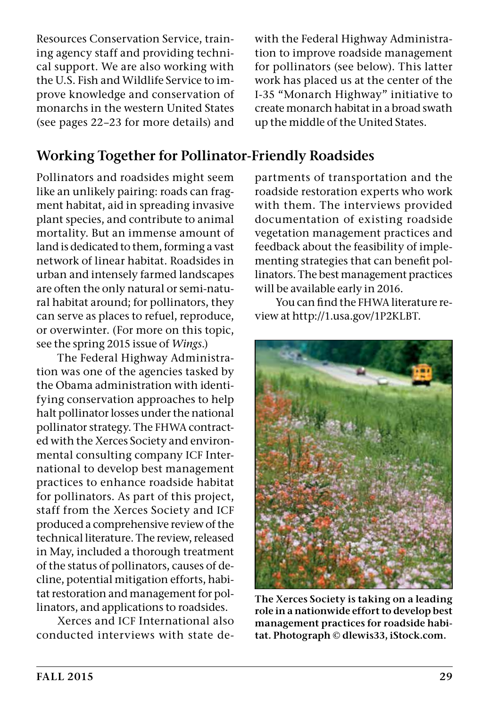Resources Conservation Service, training agency staff and providing technical support. We are also working with the U.S. Fish and Wildlife Service to improve knowledge and conservation of monarchs in the western United States (see pages 22–23 for more details) and

#### **Working Together for Pollinator-Friendly Roadsides**

Pollinators and roadsides might seem like an unlikely pairing: roads can fragment habitat, aid in spreading invasive plant species, and contribute to animal mortality. But an immense amount of land is dedicated to them, forming a vast network of linear habitat. Roadsides in urban and intensely farmed landscapes are often the only natural or semi-natural habitat around; for pollinators, they can serve as places to refuel, reproduce, or overwinter. (For more on this topic, see the spring 2015 issue of *Wings*.)

The Federal Highway Administration was one of the agencies tasked by the Obama administration with identifying conservation approaches to help halt pollinator losses under the national pollinator strategy. The FHWA contracted with the Xerces Society and environmental consulting company ICF International to develop best management practices to enhance roadside habitat for pollinators. As part of this project, staff from the Xerces Society and ICF produced a comprehensive review of the technical literature. The review, released in May, included a thorough treatment of the status of pollinators, causes of decline, potential mitigation efforts, habitat restoration and management for pollinators, and applications to roadsides.

Xerces and ICF International also conducted interviews with state de-

with the Federal Highway Administration to improve roadside management for pollinators (see below). This latter work has placed us at the center of the I-35 "Monarch Highway" initiative to create monarch habitat in a broad swath up the middle of the United States.

partments of transportation and the roadside restoration experts who work with them. The interviews provided documentation of existing roadside vegetation management practices and feedback about the feasibility of implementing strategies that can benefit pollinators. The best management practices will be available early in 2016.

You can find the FHWA literature review at http://1.usa.gov/1P2KLBT.



**The Xerces Society is taking on a leading role in a nationwide effort to develop best management practices for roadside habitat. Photograph © dlewis33, iStock.com.**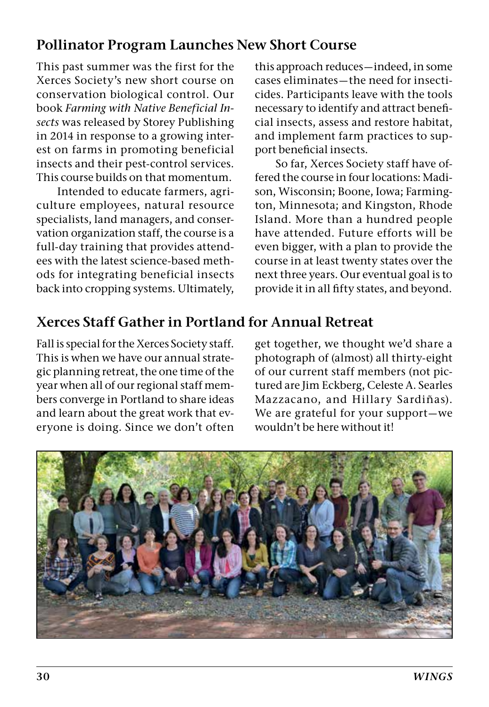#### **Pollinator Program Launches New Short Course**

This past summer was the first for the Xerces Society's new short course on conservation biological control. Our book *Farming with Native Beneficial Insects* was released by Storey Publishing in 2014 in response to a growing interest on farms in promoting beneficial insects and their pest-control services. This course builds on that momentum.

Intended to educate farmers, agriculture employees, natural resource specialists, land managers, and conservation organization staff, the course is a full-day training that provides attendees with the latest science-based methods for integrating beneficial insects back into cropping systems. Ultimately, this approach reduces—indeed, in some cases eliminates—the need for insecticides. Participants leave with the tools necessary to identify and attract beneficial insects, assess and restore habitat, and implement farm practices to support beneficial insects.

So far, Xerces Society staff have offered the course in four locations: Madison, Wisconsin; Boone, Iowa; Farmington, Minnesota; and Kingston, Rhode Island. More than a hundred people have attended. Future efforts will be even bigger, with a plan to provide the course in at least twenty states over the next three years. Our eventual goal is to provide it in all fifty states, and beyond.

#### **Xerces Staff Gather in Portland for Annual Retreat**

Fall is special for the Xerces Society staff. This is when we have our annual strategic planning retreat, the one time of the year when all of our regional staff members converge in Portland to share ideas and learn about the great work that everyone is doing. Since we don't often get together, we thought we'd share a photograph of (almost) all thirty-eight of our current staff members (not pictured are Jim Eckberg, Celeste A. Searles Mazzacano, and Hillary Sardiñas). We are grateful for your support—we wouldn't be here without it!

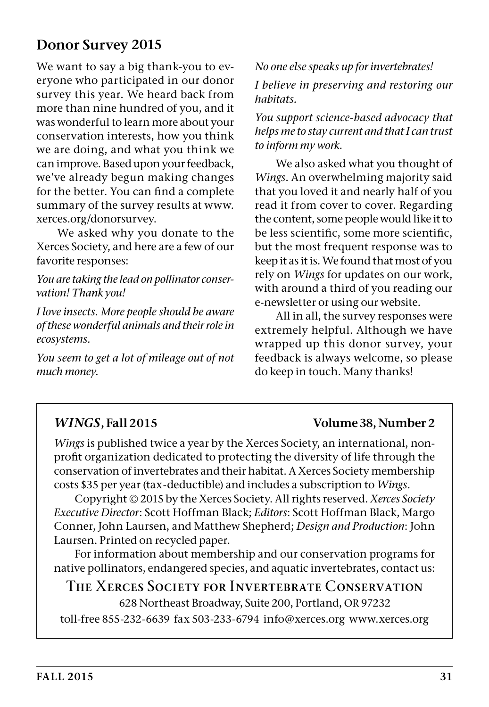#### **Donor Survey 2015**

We want to say a big thank-you to everyone who participated in our donor survey this year. We heard back from more than nine hundred of you, and it was wonderful to learn more about your conservation interests, how you think we are doing, and what you think we can improve. Based upon your feedback, we've already begun making changes for the better. You can find a complete summary of the survey results at www. xerces.org/donorsurvey.

We asked why you donate to the Xerces Society, and here are a few of our favorite responses:

*You are taking the lead on pollinator conservation! Thank you!*

*I love insects. More people should be aware of these wonderful animals and their role in ecosystems.* 

*You seem to get a lot of mileage out of not much money.*

*No one else speaks up for invertebrates!* 

*I believe in preserving and restoring our habitats.*

*You support science-based advocacy that helps me to stay current and that I can trust to inform my work.*

We also asked what you thought of *Wings*. An overwhelming majority said that you loved it and nearly half of you read it from cover to cover. Regarding the content, some people would like it to be less scientific, some more scientific, but the most frequent response was to keep it as it is. We found that most of you rely on *Wings* for updates on our work, with around a third of you reading our e-newsletter or using our website.

All in all, the survey responses were extremely helpful. Although we have wrapped up this donor survey, your feedback is always welcome, so please do keep in touch. Many thanks!

#### *WINGS***, Fall 2015 Volume 38, Number 2**

*Wings* is published twice a year by the Xerces Society, an international, nonprofit organization dedicated to protecting the diversity of life through the conservation of invertebrates and their habitat. A Xerces Society membership costs \$35 per year (tax-deductible) and includes a subscription to *Wings*.

Copyright © 2015 by the Xerces Society. All rights reserved. *Xerces Society Executive Director*: Scott Hoffman Black; *Editors*: Scott Hoffman Black, Margo Conner, John Laursen, and Matthew Shepherd; *Design and Production*: John Laursen. Printed on recycled paper.

For information about membership and our conservation programs for native pollinators, endangered species, and aquatic invertebrates, contact us:

#### T**HE** X**ERCES** S**OCIETY FOR** I**NVERTEBRATE** C**ONSERVATION**

628 Northeast Broadway, Suite 200, Portland, OR 97232

toll-free 855-232-6639 fax 503-233-6794 info@xerces.org www.xerces.org